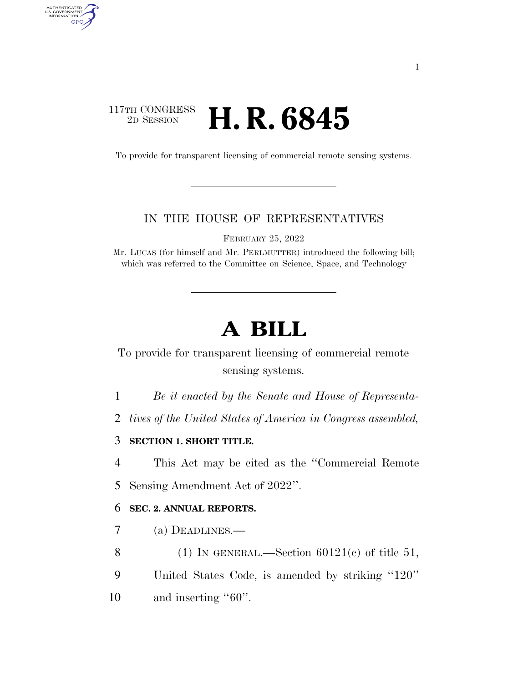## $\begin{array}{c} \text{117TH CONGRESS} \\ \text{2D SESION} \end{array}$ 2D SESSION **H. R. 6845**

AUTHENTICATED<br>U.S. GOVERNMENT<br>INFORMATION GPO

To provide for transparent licensing of commercial remote sensing systems.

## IN THE HOUSE OF REPRESENTATIVES

FEBRUARY 25, 2022

Mr. LUCAS (for himself and Mr. PERLMUTTER) introduced the following bill; which was referred to the Committee on Science, Space, and Technology

## **A BILL**

To provide for transparent licensing of commercial remote sensing systems.

1 *Be it enacted by the Senate and House of Representa-*

2 *tives of the United States of America in Congress assembled,* 

3 **SECTION 1. SHORT TITLE.** 

4 This Act may be cited as the ''Commercial Remote 5 Sensing Amendment Act of 2022''.

## 6 **SEC. 2. ANNUAL REPORTS.**

7 (a) DEADLINES.—

8 (1) IN GENERAL.—Section  $60121(e)$  of title 51,

9 United States Code, is amended by striking ''120''

10 and inserting "60".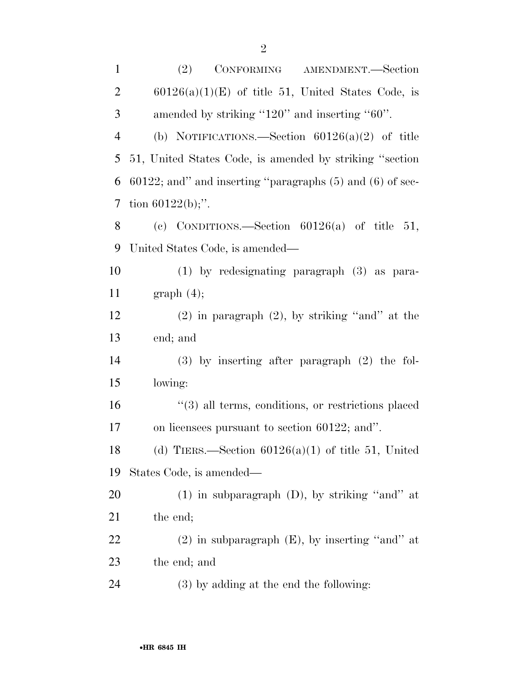| $\mathbf{1}$   | (2)<br>CONFORMING AMENDMENT.-Section                             |
|----------------|------------------------------------------------------------------|
| $\overline{2}$ | $60126(a)(1)(E)$ of title 51, United States Code, is             |
| 3              | amended by striking "120" and inserting "60".                    |
| $\overline{4}$ | (b) NOTIFICATIONS.—Section $60126(a)(2)$ of title                |
| 5              | 51, United States Code, is amended by striking "section"         |
| 6              | $60122$ ; and" and inserting "paragraphs $(5)$ and $(6)$ of sec- |
| 7              | tion $60122(b)$ ;".                                              |
| 8              | (c) CONDITIONS.—Section $60126(a)$ of title 51,                  |
| 9              | United States Code, is amended—                                  |
| 10             | $(1)$ by redesignating paragraph $(3)$ as para-                  |
| 11             | graph(4);                                                        |
| 12             | $(2)$ in paragraph $(2)$ , by striking "and" at the              |
| 13             | end; and                                                         |
| 14             | $(3)$ by inserting after paragraph $(2)$ the fol-                |
| 15             | lowing:                                                          |
| 16             | "(3) all terms, conditions, or restrictions placed               |
| 17             | on licensees pursuant to section 60122; and".                    |
| 18             | (d) TIERS.—Section $60126(a)(1)$ of title 51, United             |
| 19             | States Code, is amended—                                         |
| 20             | $(1)$ in subparagraph $(D)$ , by striking "and" at               |
| 21             | the end;                                                         |
| 22             | $(2)$ in subparagraph $(E)$ , by inserting "and" at              |
| 23             | the end; and                                                     |
| 24             | $(3)$ by adding at the end the following:                        |